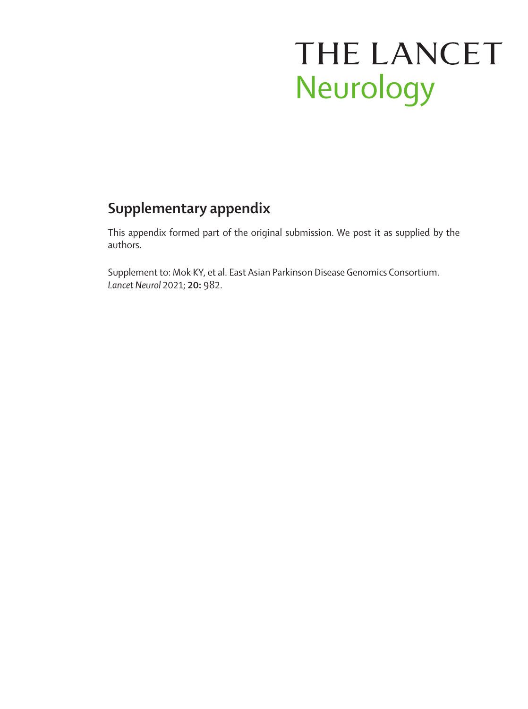# THE LANCET Neurology

# **Supplementary appendix**

This appendix formed part of the original submission. We post it as supplied by the authors.

Supplement to: Mok KY, et al. East Asian Parkinson Disease Genomics Consortium. *Lancet Neurol* 2021; **20:** 982.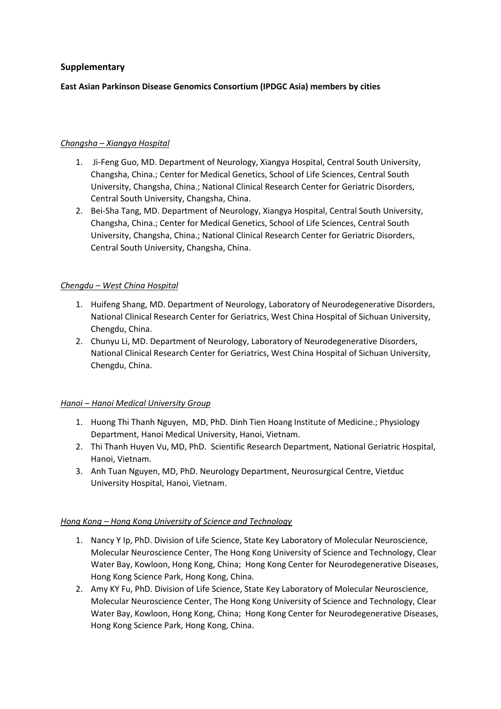#### **Supplementary**

#### **East Asian Parkinson Disease Genomics Consortium (IPDGC Asia) members by cities**

#### *Changsha – Xiangya Hospital*

- 1. Ji-Feng Guo, MD. Department of Neurology, Xiangya Hospital, Central South University, Changsha, China.; Center for Medical Genetics, School of Life Sciences, Central South University, Changsha, China.; National Clinical Research Center for Geriatric Disorders, Central South University, Changsha, China.
- 2. Bei-Sha Tang, MD. Department of Neurology, Xiangya Hospital, Central South University, Changsha, China.; Center for Medical Genetics, School of Life Sciences, Central South University, Changsha, China.; National Clinical Research Center for Geriatric Disorders, Central South University, Changsha, China.

#### *Chengdu – West China Hospital*

- 1. Huifeng Shang, MD. Department of Neurology, Laboratory of Neurodegenerative Disorders, National Clinical Research Center for Geriatrics, West China Hospital of Sichuan University, Chengdu, China.
- 2. Chunyu Li, MD. Department of Neurology, Laboratory of Neurodegenerative Disorders, National Clinical Research Center for Geriatrics, West China Hospital of Sichuan University, Chengdu, China.

#### *Hanoi – Hanoi Medical University Group*

- 1. Huong Thi Thanh Nguyen, MD, PhD. Dinh Tien Hoang Institute of Medicine.; Physiology Department, Hanoi Medical University, Hanoi, Vietnam.
- 2. Thi Thanh Huyen Vu, MD, PhD. Scientific Research Department, National Geriatric Hospital, Hanoi, Vietnam.
- 3. Anh Tuan Nguyen, MD, PhD. Neurology Department, Neurosurgical Centre, Vietduc University Hospital, Hanoi, Vietnam.

#### *Hong Kong – Hong Kong University of Science and Technology*

- 1. Nancy Y Ip, PhD. Division of Life Science, State Key Laboratory of Molecular Neuroscience, Molecular Neuroscience Center, The Hong Kong University of Science and Technology, Clear Water Bay, Kowloon, Hong Kong, China; Hong Kong Center for Neurodegenerative Diseases, Hong Kong Science Park, Hong Kong, China.
- 2. Amy KY Fu, PhD. Division of Life Science, State Key Laboratory of Molecular Neuroscience, Molecular Neuroscience Center, The Hong Kong University of Science and Technology, Clear Water Bay, Kowloon, Hong Kong, China; Hong Kong Center for Neurodegenerative Diseases, Hong Kong Science Park, Hong Kong, China.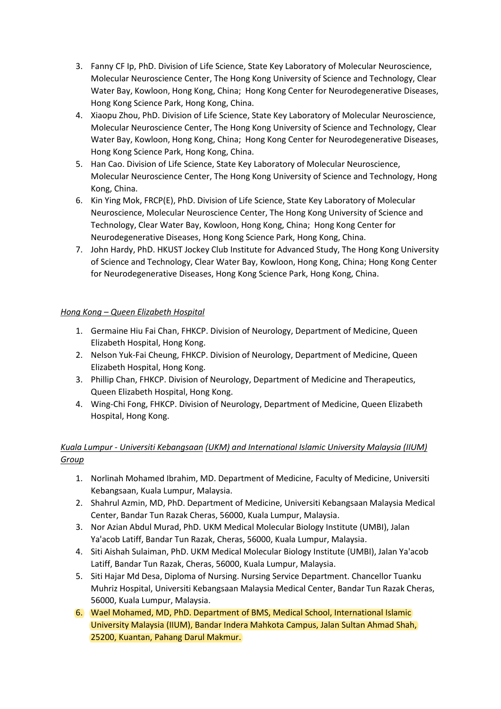- 3. Fanny CF Ip, PhD. Division of Life Science, State Key Laboratory of Molecular Neuroscience, Molecular Neuroscience Center, The Hong Kong University of Science and Technology, Clear Water Bay, Kowloon, Hong Kong, China; Hong Kong Center for Neurodegenerative Diseases, Hong Kong Science Park, Hong Kong, China.
- 4. Xiaopu Zhou, PhD. Division of Life Science, State Key Laboratory of Molecular Neuroscience, Molecular Neuroscience Center, The Hong Kong University of Science and Technology, Clear Water Bay, Kowloon, Hong Kong, China; Hong Kong Center for Neurodegenerative Diseases, Hong Kong Science Park, Hong Kong, China.
- 5. Han Cao. Division of Life Science, State Key Laboratory of Molecular Neuroscience, Molecular Neuroscience Center, The Hong Kong University of Science and Technology, Hong Kong, China.
- 6. Kin Ying Mok, FRCP(E), PhD. Division of Life Science, State Key Laboratory of Molecular Neuroscience, Molecular Neuroscience Center, The Hong Kong University of Science and Technology, Clear Water Bay, Kowloon, Hong Kong, China; Hong Kong Center for Neurodegenerative Diseases, Hong Kong Science Park, Hong Kong, China.
- 7. John Hardy, PhD. HKUST Jockey Club Institute for Advanced Study, The Hong Kong University of Science and Technology, Clear Water Bay, Kowloon, Hong Kong, China; Hong Kong Center for Neurodegenerative Diseases, Hong Kong Science Park, Hong Kong, China.

#### *Hong Kong – Queen Elizabeth Hospital*

- 1. Germaine Hiu Fai Chan, FHKCP. Division of Neurology, Department of Medicine, Queen Elizabeth Hospital, Hong Kong.
- 2. Nelson Yuk-Fai Cheung, FHKCP. Division of Neurology, Department of Medicine, Queen Elizabeth Hospital, Hong Kong.
- 3. Phillip Chan, FHKCP. Division of Neurology, Department of Medicine and Therapeutics, Queen Elizabeth Hospital, Hong Kong.
- 4. Wing-Chi Fong, FHKCP. Division of Neurology, Department of Medicine, Queen Elizabeth Hospital, Hong Kong.

# *Kuala Lumpur - Universiti Kebangsaan (UKM) and International Islamic University Malaysia (IIUM) Group*

- 1. Norlinah Mohamed Ibrahim, MD. Department of Medicine, Faculty of Medicine, Universiti Kebangsaan, Kuala Lumpur, Malaysia.
- 2. Shahrul Azmin, MD, PhD. Department of Medicine, Universiti Kebangsaan Malaysia Medical Center, Bandar Tun Razak Cheras, 56000, Kuala Lumpur, Malaysia.
- 3. Nor Azian Abdul Murad, PhD. UKM Medical Molecular Biology Institute (UMBI), Jalan Ya'acob Latiff, Bandar Tun Razak, Cheras, 56000, Kuala Lumpur, Malaysia.
- 4. Siti Aishah Sulaiman, PhD. UKM Medical Molecular Biology Institute (UMBI), Jalan Ya'acob Latiff, Bandar Tun Razak, Cheras, 56000, Kuala Lumpur, Malaysia.
- 5. Siti Hajar Md Desa, Diploma of Nursing. Nursing Service Department. Chancellor Tuanku Muhriz Hospital, Universiti Kebangsaan Malaysia Medical Center, Bandar Tun Razak Cheras, 56000, Kuala Lumpur, Malaysia.
- 6. Wael Mohamed, MD, PhD. Department of BMS, Medical School, International Islamic University Malaysia (IIUM), Bandar Indera Mahkota Campus, Jalan Sultan Ahmad Shah, 25200, Kuantan, Pahang Darul Makmur.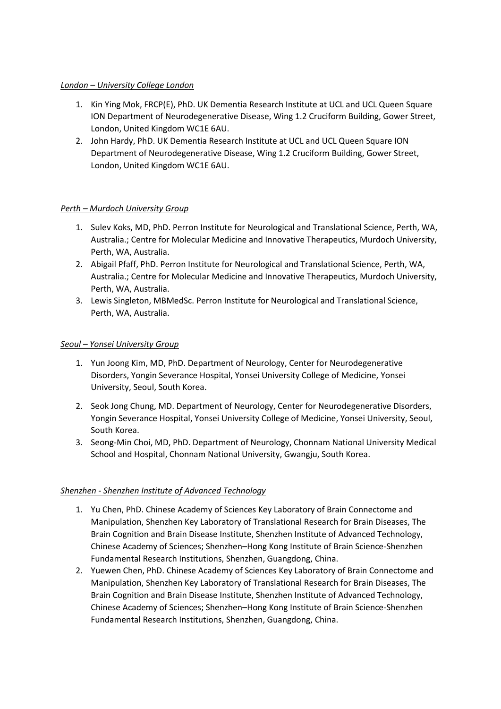#### *London – University College London*

- 1. Kin Ying Mok, FRCP(E), PhD. UK Dementia Research Institute at UCL and UCL Queen Square ION Department of Neurodegenerative Disease, Wing 1.2 Cruciform Building, Gower Street, London, United Kingdom WC1E 6AU.
- 2. John Hardy, PhD. UK Dementia Research Institute at UCL and UCL Queen Square ION Department of Neurodegenerative Disease, Wing 1.2 Cruciform Building, Gower Street, London, United Kingdom WC1E 6AU.

#### *Perth – Murdoch University Group*

- 1. Sulev Koks, MD, PhD. Perron Institute for Neurological and Translational Science, Perth, WA, Australia.; Centre for Molecular Medicine and Innovative Therapeutics, Murdoch University, Perth, WA, Australia.
- 2. Abigail Pfaff, PhD. Perron Institute for Neurological and Translational Science, Perth, WA, Australia.; Centre for Molecular Medicine and Innovative Therapeutics, Murdoch University, Perth, WA, Australia.
- 3. Lewis Singleton, MBMedSc. Perron Institute for Neurological and Translational Science, Perth, WA, Australia.

#### *Seoul – Yonsei University Group*

- 1. Yun Joong Kim, MD, PhD. Department of Neurology, Center for Neurodegenerative Disorders, Yongin Severance Hospital, Yonsei University College of Medicine, Yonsei University, Seoul, South Korea.
- 2. Seok Jong Chung, MD. Department of Neurology, Center for Neurodegenerative Disorders, Yongin Severance Hospital, Yonsei University College of Medicine, Yonsei University, Seoul, South Korea.
- 3. Seong-Min Choi, MD, PhD. Department of Neurology, Chonnam National University Medical School and Hospital, Chonnam National University, Gwangju, South Korea.

#### *Shenzhen - Shenzhen Institute of Advanced Technology*

- 1. Yu Chen, PhD. Chinese Academy of Sciences Key Laboratory of Brain Connectome and Manipulation, Shenzhen Key Laboratory of Translational Research for Brain Diseases, The Brain Cognition and Brain Disease Institute, Shenzhen Institute of Advanced Technology, Chinese Academy of Sciences; Shenzhen–Hong Kong Institute of Brain Science-Shenzhen Fundamental Research Institutions, Shenzhen, Guangdong, China.
- 2. Yuewen Chen, PhD. Chinese Academy of Sciences Key Laboratory of Brain Connectome and Manipulation, Shenzhen Key Laboratory of Translational Research for Brain Diseases, The Brain Cognition and Brain Disease Institute, Shenzhen Institute of Advanced Technology, Chinese Academy of Sciences; Shenzhen–Hong Kong Institute of Brain Science-Shenzhen Fundamental Research Institutions, Shenzhen, Guangdong, China.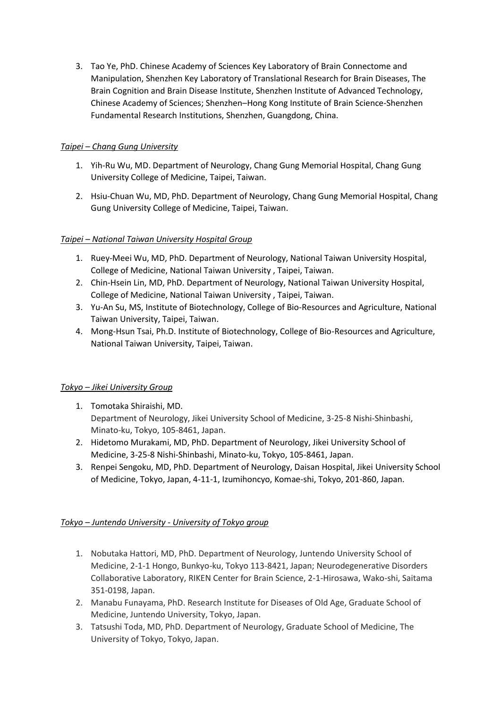3. Tao Ye, PhD. Chinese Academy of Sciences Key Laboratory of Brain Connectome and Manipulation, Shenzhen Key Laboratory of Translational Research for Brain Diseases, The Brain Cognition and Brain Disease Institute, Shenzhen Institute of Advanced Technology, Chinese Academy of Sciences; Shenzhen–Hong Kong Institute of Brain Science-Shenzhen Fundamental Research Institutions, Shenzhen, Guangdong, China.

### *Taipei – Chang Gung University*

- 1. Yih-Ru Wu, MD. Department of Neurology, Chang Gung Memorial Hospital, Chang Gung University College of Medicine, Taipei, Taiwan.
- 2. Hsiu-Chuan Wu, MD, PhD. Department of Neurology, Chang Gung Memorial Hospital, Chang Gung University College of Medicine, Taipei, Taiwan.

#### *Taipei – National Taiwan University Hospital Group*

- 1. Ruey-Meei Wu, MD, PhD. Department of Neurology, National Taiwan University Hospital, College of Medicine, National Taiwan University , Taipei, Taiwan.
- 2. Chin-Hsein Lin, MD, PhD. Department of Neurology, National Taiwan University Hospital, College of Medicine, National Taiwan University , Taipei, Taiwan.
- 3. Yu-An Su, MS, Institute of Biotechnology, College of Bio-Resources and Agriculture, National Taiwan University, Taipei, Taiwan.
- 4. Mong-Hsun Tsai, Ph.D. Institute of Biotechnology, College of Bio-Resources and Agriculture, National Taiwan University, Taipei, Taiwan.

#### *Tokyo – Jikei University Group*

- 1. Tomotaka Shiraishi, MD. Department of Neurology, Jikei University School of Medicine, 3-25-8 Nishi-Shinbashi, Minato-ku, Tokyo, 105-8461, Japan.
- 2. Hidetomo Murakami, MD, PhD. Department of Neurology, Jikei University School of Medicine, 3-25-8 Nishi-Shinbashi, Minato-ku, Tokyo, 105-8461, Japan.
- 3. Renpei Sengoku, MD, PhD. Department of Neurology, Daisan Hospital, Jikei University School of Medicine, Tokyo, Japan, 4-11-1, Izumihoncyo, Komae-shi, Tokyo, 201-860, Japan.

## *Tokyo – Juntendo University - University of Tokyo group*

- 1. Nobutaka Hattori, MD, PhD. Department of Neurology, Juntendo University School of Medicine, 2-1-1 Hongo, Bunkyo-ku, Tokyo 113-8421, Japan; Neurodegenerative Disorders Collaborative Laboratory, RIKEN Center for Brain Science, 2-1-Hirosawa, Wako-shi, Saitama 351-0198, Japan.
- 2. Manabu Funayama, PhD. Research Institute for Diseases of Old Age, Graduate School of Medicine, Juntendo University, Tokyo, Japan.
- 3. Tatsushi Toda, MD, PhD. Department of Neurology, Graduate School of Medicine, The University of Tokyo, Tokyo, Japan.